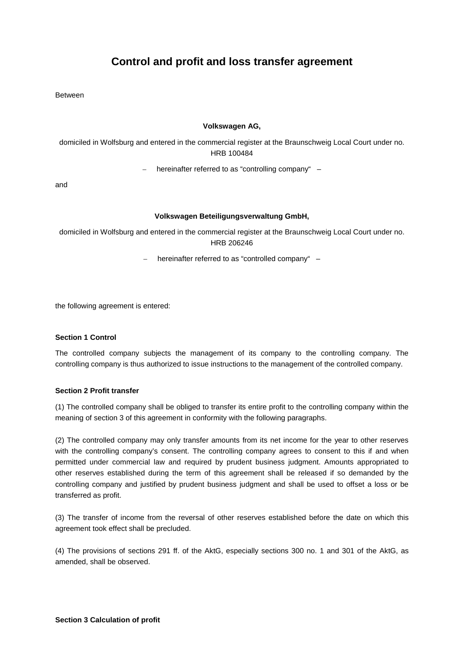# **Control and profit and loss transfer agreement**

Between

#### **Volkswagen AG,**

domiciled in Wolfsburg and entered in the commercial register at the Braunschweig Local Court under no. HRB 100484

– hereinafter referred to as "controlling company" –

and

### **Volkswagen Beteiligungsverwaltung GmbH,**

domiciled in Wolfsburg and entered in the commercial register at the Braunschweig Local Court under no. HRB 206246

 $-$  hereinafter referred to as "controlled company"  $-$ 

the following agreement is entered:

## **Section 1 Control**

The controlled company subjects the management of its company to the controlling company. The controlling company is thus authorized to issue instructions to the management of the controlled company.

#### **Section 2 Profit transfer**

(1) The controlled company shall be obliged to transfer its entire profit to the controlling company within the meaning of section 3 of this agreement in conformity with the following paragraphs.

(2) The controlled company may only transfer amounts from its net income for the year to other reserves with the controlling company's consent. The controlling company agrees to consent to this if and when permitted under commercial law and required by prudent business judgment. Amounts appropriated to other reserves established during the term of this agreement shall be released if so demanded by the controlling company and justified by prudent business judgment and shall be used to offset a loss or be transferred as profit.

(3) The transfer of income from the reversal of other reserves established before the date on which this agreement took effect shall be precluded.

(4) The provisions of sections 291 ff. of the AktG, especially sections 300 no. 1 and 301 of the AktG, as amended, shall be observed.